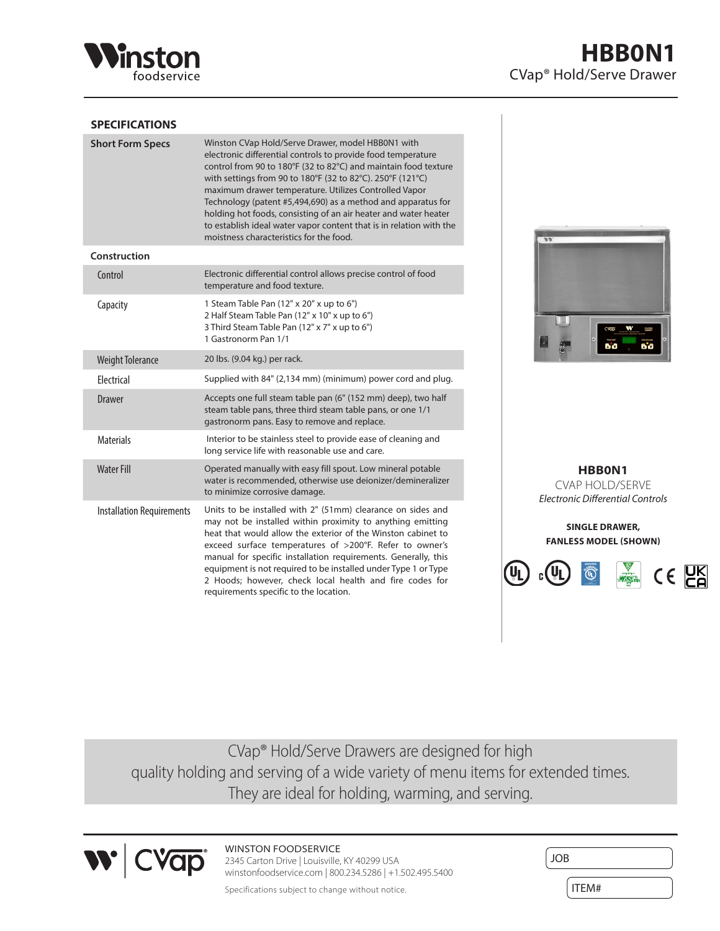

## **SPECIFICATIONS**

| <b>Short Form Specs</b>          | Winston CVap Hold/Serve Drawer, model HBB0N1 with<br>electronic differential controls to provide food temperature<br>control from 90 to 180°F (32 to 82°C) and maintain food texture<br>with settings from 90 to 180°F (32 to 82°C). 250°F (121°C)<br>maximum drawer temperature. Utilizes Controlled Vapor<br>Technology (patent #5,494,690) as a method and apparatus for<br>holding hot foods, consisting of an air heater and water heater<br>to establish ideal water vapor content that is in relation with the<br>moistness characteristics for the food. |
|----------------------------------|------------------------------------------------------------------------------------------------------------------------------------------------------------------------------------------------------------------------------------------------------------------------------------------------------------------------------------------------------------------------------------------------------------------------------------------------------------------------------------------------------------------------------------------------------------------|
| Construction                     |                                                                                                                                                                                                                                                                                                                                                                                                                                                                                                                                                                  |
| Control                          | Electronic differential control allows precise control of food<br>temperature and food texture.                                                                                                                                                                                                                                                                                                                                                                                                                                                                  |
| Capacity                         | 1 Steam Table Pan (12" x 20" x up to 6")<br>2 Half Steam Table Pan (12" x 10" x up to 6")<br>3 Third Steam Table Pan (12" x 7" x up to 6")<br>1 Gastronorm Pan 1/1                                                                                                                                                                                                                                                                                                                                                                                               |
| <b>Weight Tolerance</b>          | 20 lbs. (9.04 kg.) per rack.                                                                                                                                                                                                                                                                                                                                                                                                                                                                                                                                     |
| Flectrical                       | Supplied with 84" (2,134 mm) (minimum) power cord and plug.                                                                                                                                                                                                                                                                                                                                                                                                                                                                                                      |
| <b>Drawer</b>                    | Accepts one full steam table pan (6" (152 mm) deep), two half<br>steam table pans, three third steam table pans, or one 1/1<br>gastronorm pans. Easy to remove and replace.                                                                                                                                                                                                                                                                                                                                                                                      |
| <b>Materials</b>                 | Interior to be stainless steel to provide ease of cleaning and<br>long service life with reasonable use and care.                                                                                                                                                                                                                                                                                                                                                                                                                                                |
| <b>Water Fill</b>                | Operated manually with easy fill spout. Low mineral potable<br>water is recommended, otherwise use deionizer/demineralizer<br>to minimize corrosive damage.                                                                                                                                                                                                                                                                                                                                                                                                      |
| <b>Installation Requirements</b> | Units to be installed with 2" (51mm) clearance on sides and<br>may not be installed within proximity to anything emitting<br>heat that would allow the exterior of the Winston cabinet to<br>exceed surface temperatures of >200°F. Refer to owner's<br>manual for specific installation requirements. Generally, this<br>equipment is not required to be installed under Type 1 or Type<br>2 Hoods; however, check local health and fire codes for<br>requirements specific to the location.                                                                    |



**HBB0N1** CVAP HOLD/SERVE *Electronic Differential Controls*

**SINGLE DRAWER, FANLESS MODEL (SHOWN)**



CVap® Hold/Serve Drawers are designed for high quality holding and serving of a wide variety of menu items for extended times. They are ideal for holding, warming, and serving.



WINSTON FOODSERVICE 2345 Carton Drive | Louisville, KY 40299 USA winstonfoodservice.com | 800.234.5286 | +1.502.495.5400

| JOB   |  |
|-------|--|
| ITEM# |  |

Specifications subject to change without notice.